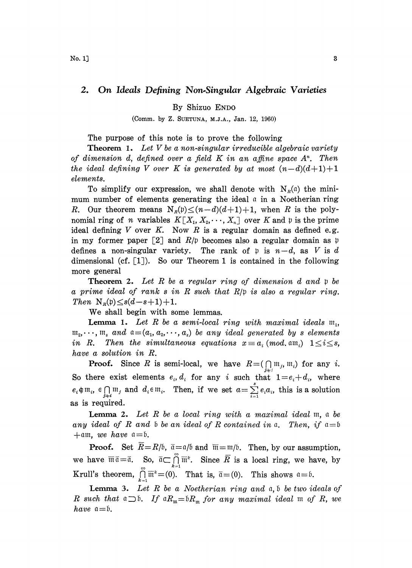## 2. On Ideals Defining Non.Singular Algebraic Varieties

By Shizuo ENDO

(Comm. by Z. SUETUNA, M.I.A., Jan. 12, 1960)

The purpose of this note is to prove the following

**Theorem 1.** Let V be a non-singular irreducible algebraic variety of dimension d, defined over a field  $K$  in an affine space  $A<sup>n</sup>$ . Then the ideal defining V over K is generated by at most  $(n-d)(d+1)+1$ elements.

To simplify our expression, we shall denote with  $N<sub>n</sub>(a)$  the minimum number of elements generating the ideal  $\alpha$  in a Noetherian ring R. Our theorem means  $N_R(p) \leq (n-d)(d+1)+1$ , when R is the polynomial ring of *n* variables  $K[X_1, X_2, \dots, X_n]$  over K and p is the prime ideal defining  $V$  over  $K$ . Now  $R$  is a regular domain as defined e.g. in my former paper [2] and  $R/\mathfrak{p}$  becomes also a regular domain as  $\mathfrak{p}$ defines a non-singular variety. The rank of p is  $n-d$ , as V is d dimensional (cf. [1). So our Theorem 1 is contained in the following more general

**Theorem 2.** Let R be a regular ring of dimension  $d$  and  $p$  be a prime ideal of rank  $s$  in  $R$  such that  $R/\mathfrak{p}$  is also a regular ring. Then  $N_R(p) \leq s(d-s+1)+1$ .

We shall begin with some lemmas.

**Lemma 1.** Let R be a semi-local ring with maximal ideals  $m_1$ ,  $m_2,\dots, m_s$  and  $a=(a_1, a_2,\dots, a_s)$  be any ideal generated by s elements in R. Then the simultaneous equations  $x \equiv a_i \pmod{1} \le i \le s$ , have a solution in R.

**Proof.** Since R is semi-local, we have  $R = (\bigcap_{j \neq i} m_j, m_i)$  for any i. So there exist elements  $e_i$ ,  $d_i$  for any i such that  $1=e_i+d_i$ , where  $e_i \notin \mathfrak{m}_i$ ,  $\in \bigcap_{j \neq i} \mathfrak{m}_j$  and  $d_i \in \mathfrak{m}_i$ . Then, if we set  $a=\sum_{i=1}^s e_i a_i$ , this is a solution as is required.

**Lemma 2.** Let  $R$  be a local ring with a maximal ideal  $m$ , a be any ideal of R and b be an ideal of R contained in a. Then, if  $a = b$  $+$ am, we have  $a=$ b.

**Proof.** Set  $R=R/6$ ,  $\bar{a}=a/6$  and  $\bar{m}=m/6$ . Then, by our assumption, + am, we have  $a=6$ .<br> **Proof.** Set  $\overline{R} = R/6$ ,  $\overline{a} = a/6$  and  $\overline{m} = m/6$ . Then, by our assumption, we have  $\overline{m}\overline{a} = \overline{a}$ . So,  $\overline{a} \subset \bigcap_{k=1}^{\infty} \overline{m}^k$ . Since  $\overline{R}$  is a local ring, we have, by  $K$ ru  $k=1$ 

Krull's theorem,  $\bigcap_{k=1}^{\infty} \overline{m}^k = (0)$ . That is,  $\overline{a} = (0)$ . This shows  $a = b$ .<br>
Lemma 3. Let R be a Noetherian ring and a, b be two is<br>
R such that  $a \supset b$ . If  $aR_m = bR_m$  for any maximal ideal m of **Lemma 3.** Let R be a Noetherian ring and  $\mathfrak{a}, \mathfrak{b}$  be two ideals of R such that  $\mathfrak{a} \supset \mathfrak{b}$ . If  $\mathfrak{a}R_{\mathfrak{m}} = \mathfrak{b}R_{\mathfrak{m}}$  for any maximal ideal  $\mathfrak{m}$  of R, we have  $a = b$ .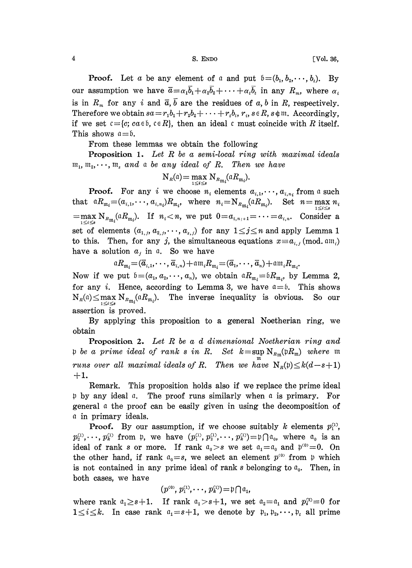**Proof.** Let a be any element of a and put  $\mathfrak{b} = (b_1, b_2, \dots, b_t)$ . By our assumption we have  $\overline{a} = \alpha_1 \overline{b}_1 + \alpha_2 \overline{b}_2 + \cdots + \alpha_t \overline{b}_t$  in any  $R_m$ , where  $\alpha_i$ is in  $R_m$  for any i and  $\bar{a}, \bar{b}$  are the residues of a, b in R, respectively. Therefore we obtain  $sa = r_1b_1 + r_2b_2 + \cdots + r_ib_i$ ,  $r_i$ ,  $s \in R$ ,  $s \notin \mathfrak{m}$ . Accordingly, if we set  $c = {c; ca \in b, c \in R}$ , then an ideal c must coincide with R itself. This shows  $a = b$ .

From these lemmas we obtain the following

**Proposition 1.** Let R be a semi-local ring with maximal ideals  $\mathfrak{m}_1, \mathfrak{m}_2, \cdots, \mathfrak{m}_s$  and a be any ideal of R. Then we have

$$
N_{\scriptscriptstyle R}(a) = \max_{1 \le i \le s} N_{{\scriptscriptstyle R}_{\scriptscriptstyle \text{III}_i}}(a R_{\scriptscriptstyle \text{III}_i}).
$$

**Proof.** For any i we choose  $n_i$  elements  $a_{i,1}, \dots, a_{i,n_i}$  from a such that  ${}^{\mathfrak{a}}R_{\mathfrak{m}_i}=(a_{i,1},\cdots, a_{i,n_i})R_{\mathfrak{m}_i}$ , where  $n_i=\mathrm{N}_{R_{\mathfrak{m}_i}}({}^{\mathfrak{a}}R_{\mathfrak{m}_i})$ . Set  $n=\max n_i$  $=\max_{1\leq i\leq s} N_{R_{\mathfrak{m}_i}}(aR_{\mathfrak{m}_i}).$  If  $n_i < n$ , we put  $0=a_{i,n+1}=\cdots=a_{i,n}$ . Consider a set of elements  $(a_{1,j}, a_{2,j}, \dots, a_{s,j})$  for any  $1 \leq j \leq n$  and apply Lemma 1 to this. Then, for any j, the simultaneous equations  $x \equiv a_{i,j} \pmod{a_{i,j}}$ have a solution  $a_j$  in a. So we have

$$
\alpha R_{\mathfrak{m}_i} = (\overline{a}_{i,1}, \cdots, \overline{a}_{i,n}) + \alpha \mathfrak{m}_i R_{\mathfrak{m}_i} = (\overline{a}_1, \cdots, \overline{a}_n) + \alpha \mathfrak{m}_i R_{\mathfrak{m}_i}.
$$

Now if we put  $\mathfrak{b}=(a_1, a_2, \dots, a_n)$ , we obtain  $\mathfrak{a}_{R_{\mathfrak{m}_i}}=\mathfrak{b}_{R_{\mathfrak{m}_i}}$ , by Lemma 2, for any *i*. Hence, according to Lemma 3, we have  $a = 6$ . This shows  $N_R(a) \le \max_{1 \le i \le s} N_{R_{m_i}}(aR_{m_i}).$  The inverse inequality is obvious. So our assertion is proved.

By applying this proposition to a general Noetherian ring, we obtain

**Proposition 2.** Let  $R$  be a d dimensional Noetherian ring and p be a prime ideal of rank s in R. Set  $k = \sup N_{R_{\text{m}}}(\mathfrak{p}R_{\mathfrak{m}})$  where  $\mathfrak{m}$ runs over all maximal ideals of R. Then we have  $N_R(p) \le k(d-s+1)$  $+1.$ 

Remark. This proposition holds also if we replace the prime ideal  $\mathfrak p$  by any ideal  $\mathfrak a$ . The proof runs similarly when  $\mathfrak a$  is primary. For general a the proof can be easily given in using the decomposition of a in primary ideals.

**Proof.** By our assumption, if we choose suitably k elements  $p_1^{(1)}$ ,  $p_1^{(1)}, \dots, p_k^{(1)}$  from p, we have  $(p_1^{(1)}, p_2^{(1)}, \dots, p_k^{(1)}) = \mathfrak{p} \cap \mathfrak{a}_0$ , where  $\mathfrak{a}_0$  is an ideal of rank s or more. If rank  $a_0 > s$  we set  $a_1 = a_0$  and  $p^{(0)} = 0$ . On the other hand, if rank  $a_0 = s$ , we select an element  $p^{(0)}$  from  $p$  which is not contained in any prime ideal of rank s belonging to  $a_0$ . Then, in both cases, we have

$$
(p^{(0)}, p_1^{(1)}, \cdots, p_k^{(1)}) = \mathfrak{p} \bigcap \mathfrak{a}_1,
$$

where rank  $a_1 \geq s+1$ . If rank  $a_1 > s+1$ , we set  $a_2 = a_1$  and  $p_i^{(2)} = 0$  for  $1 \leq i \leq k$ . In case rank  $a_1 = s+1$ , we denote by  $p_1, p_2, \dots, p_k$  all prime